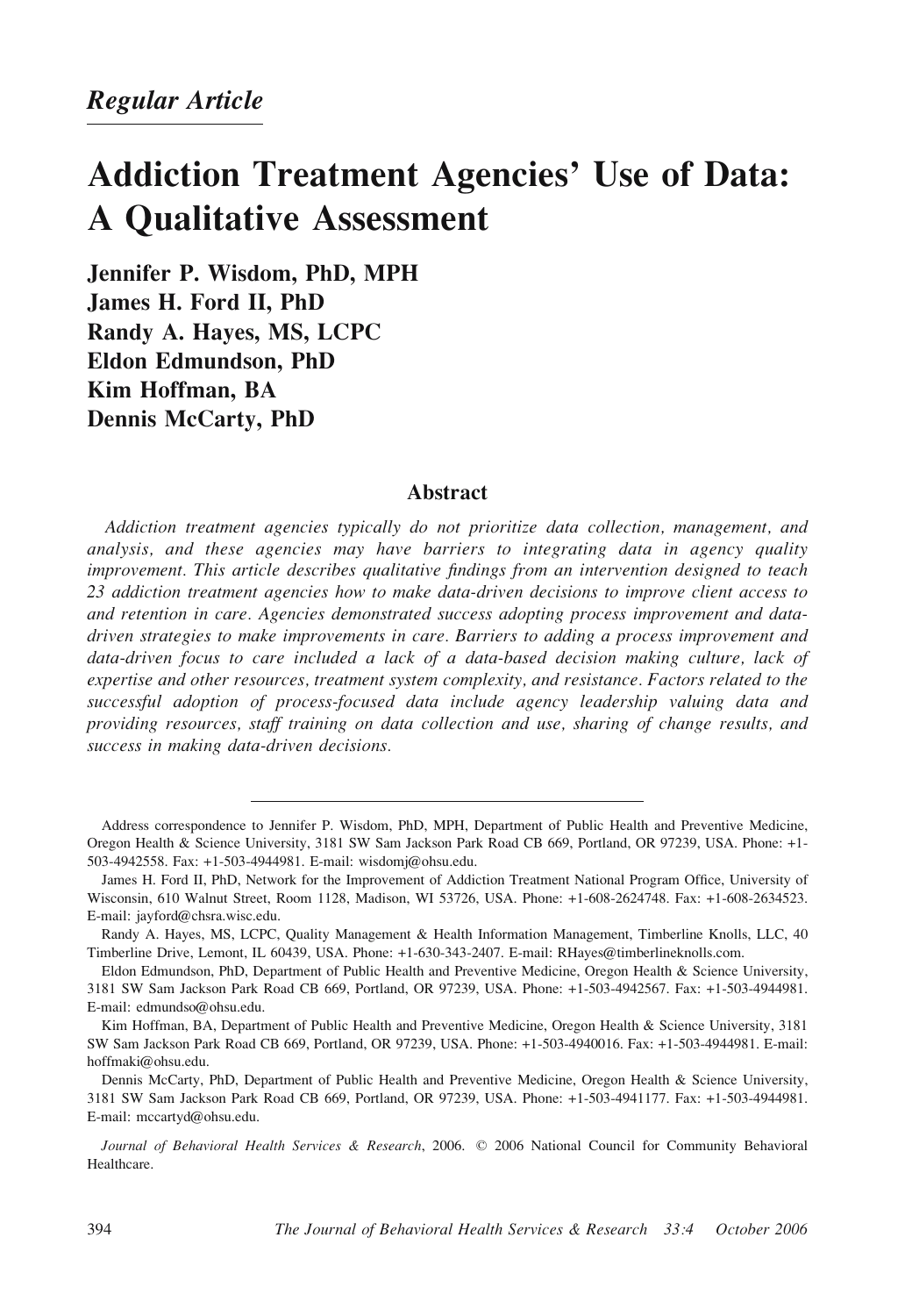# Addiction Treatment Agencies' Use of Data: A Qualitative Assessment

Jennifer P. Wisdom, PhD, MPH James H. Ford II, PhD Randy A. Hayes, MS, LCPC Eldon Edmundson, PhD Kim Hoffman, BA Dennis McCarty, PhD

# Abstract

Addiction treatment agencies typically do not prioritize data collection, management, and analysis, and these agencies may have barriers to integrating data in agency quality improvement. This article describes qualitative findings from an intervention designed to teach 23 addiction treatment agencies how to make data-driven decisions to improve client access to and retention in care. Agencies demonstrated success adopting process improvement and datadriven strategies to make improvements in care. Barriers to adding a process improvement and data-driven focus to care included a lack of a data-based decision making culture, lack of expertise and other resources, treatment system complexity, and resistance. Factors related to the successful adoption of process-focused data include agency leadership valuing data and providing resources, staff training on data collection and use, sharing of change results, and success in making data-driven decisions.

Address correspondence to Jennifer P. Wisdom, PhD, MPH, Department of Public Health and Preventive Medicine, Oregon Health & Science University, 3181 SW Sam Jackson Park Road CB 669, Portland, OR 97239, USA. Phone: +1- 503-4942558. Fax: +1-503-4944981. E-mail: wisdomj@ohsu.edu.

James H. Ford II, PhD, Network for the Improvement of Addiction Treatment National Program Office, University of Wisconsin, 610 Walnut Street, Room 1128, Madison, WI 53726, USA. Phone: +1-608-2624748. Fax: +1-608-2634523. E-mail: jayford@chsra.wisc.edu.

Randy A. Hayes, MS, LCPC, Quality Management & Health Information Management, Timberline Knolls, LLC, 40 Timberline Drive, Lemont, IL 60439, USA. Phone: +1-630-343-2407. E-mail: RHayes@timberlineknolls.com.

Eldon Edmundson, PhD, Department of Public Health and Preventive Medicine, Oregon Health & Science University, 3181 SW Sam Jackson Park Road CB 669, Portland, OR 97239, USA. Phone: +1-503-4942567. Fax: +1-503-4944981. E-mail: edmundso@ohsu.edu.

Kim Hoffman, BA, Department of Public Health and Preventive Medicine, Oregon Health & Science University, 3181 SW Sam Jackson Park Road CB 669, Portland, OR 97239, USA. Phone: +1-503-4940016. Fax: +1-503-4944981. E-mail: hoffmaki@ohsu.edu.

Dennis McCarty, PhD, Department of Public Health and Preventive Medicine, Oregon Health & Science University, 3181 SW Sam Jackson Park Road CB 669, Portland, OR 97239, USA. Phone: +1-503-4941177. Fax: +1-503-4944981. E-mail: mccartyd@ohsu.edu.

Journal of Behavioral Health Services & Research, 2006. © 2006 National Council for Community Behavioral Healthcare.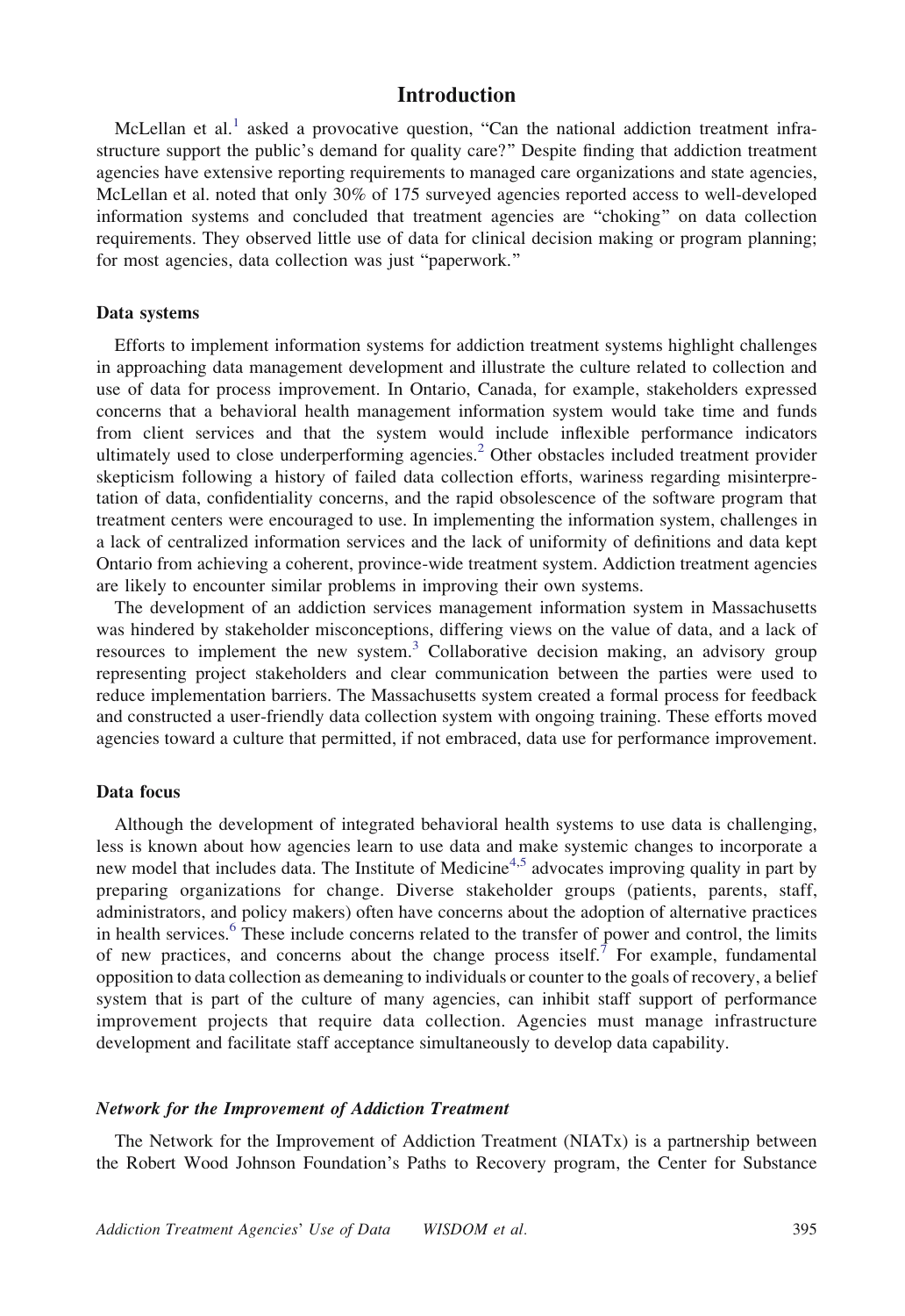# Introduction

McLellan et al.<sup>[1](#page-12-0)</sup> asked a provocative question, "Can the national addiction treatment infrastructure support the public's demand for quality care?" Despite finding that addiction treatment agencies have extensive reporting requirements to managed care organizations and state agencies, McLellan et al. noted that only 30% of 175 surveyed agencies reported access to well-developed information systems and concluded that treatment agencies are "choking" on data collection requirements. They observed little use of data for clinical decision making or program planning; for most agencies, data collection was just "paperwork."

#### Data systems

Efforts to implement information systems for addiction treatment systems highlight challenges in approaching data management development and illustrate the culture related to collection and use of data for process improvement. In Ontario, Canada, for example, stakeholders expressed concerns that a behavioral health management information system would take time and funds from client services and that the system would include inflexible performance indicators ultimately used to close underperforming agencies.<sup>[2](#page-13-0)</sup> Other obstacles included treatment provider skepticism following a history of failed data collection efforts, wariness regarding misinterpretation of data, confidentiality concerns, and the rapid obsolescence of the software program that treatment centers were encouraged to use. In implementing the information system, challenges in a lack of centralized information services and the lack of uniformity of definitions and data kept Ontario from achieving a coherent, province-wide treatment system. Addiction treatment agencies are likely to encounter similar problems in improving their own systems.

The development of an addiction services management information system in Massachusetts was hindered by stakeholder misconceptions, differing views on the value of data, and a lack of resources to implement the new system.<sup>[3](#page-13-0)</sup> Collaborative decision making, an advisory group representing project stakeholders and clear communication between the parties were used to reduce implementation barriers. The Massachusetts system created a formal process for feedback and constructed a user-friendly data collection system with ongoing training. These efforts moved agencies toward a culture that permitted, if not embraced, data use for performance improvement.

#### Data focus

Although the development of integrated behavioral health systems to use data is challenging, less is known about how agencies learn to use data and make systemic changes to incorporate a new model that includes data. The Institute of Medicine<sup>[4,5](#page-13-0)</sup> advocates improving quality in part by preparing organizations for change. Diverse stakeholder groups (patients, parents, staff, administrators, and policy makers) often have concerns about the adoption of alternative practices in health services.<sup>[6](#page-13-0)</sup> These include concerns related to the transfer of power and control, the limits of new practices, and concerns about the change process itself.<sup>[7](#page-13-0)</sup> For example, fundamental opposition to data collection as demeaning to individuals or counter to the goals of recovery, a belief system that is part of the culture of many agencies, can inhibit staff support of performance improvement projects that require data collection. Agencies must manage infrastructure development and facilitate staff acceptance simultaneously to develop data capability.

#### Network for the Improvement of Addiction Treatment

The Network for the Improvement of Addiction Treatment (NIATx) is a partnership between the Robert Wood Johnson Foundation's Paths to Recovery program, the Center for Substance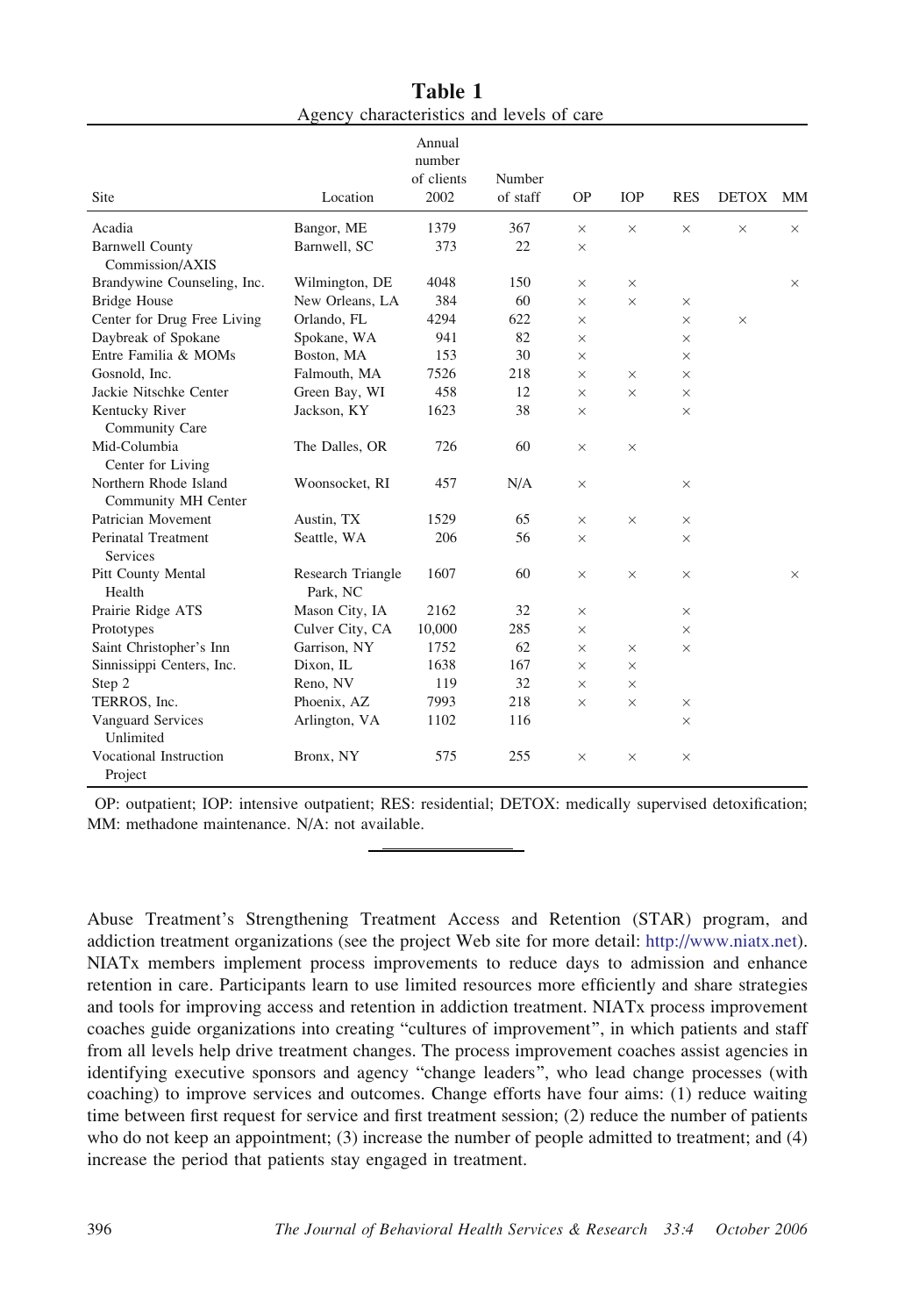<span id="page-2-0"></span>

|                                              |                               | Annual<br>number<br>of clients | Number   |           |            |            |              |          |
|----------------------------------------------|-------------------------------|--------------------------------|----------|-----------|------------|------------|--------------|----------|
| Site                                         | Location                      | 2002                           | of staff | <b>OP</b> | <b>IOP</b> | <b>RES</b> | <b>DETOX</b> | MМ       |
| Acadia                                       | Bangor, ME                    | 1379                           | 367      | $\times$  | $\times$   | $\times$   | $\times$     | X        |
| <b>Barnwell County</b><br>Commission/AXIS    | Barnwell, SC                  | 373                            | 22       | $\times$  |            |            |              |          |
| Brandywine Counseling, Inc.                  | Wilmington, DE                | 4048                           | 150      | $\times$  | $\times$   |            |              | $\times$ |
| <b>Bridge House</b>                          | New Orleans, LA               | 384                            | 60       | $\times$  | $\times$   | $\times$   |              |          |
| Center for Drug Free Living                  | Orlando, FL                   | 4294                           | 622      | $\times$  |            | $\times$   | $\times$     |          |
| Daybreak of Spokane                          | Spokane, WA                   | 941                            | 82       | $\times$  |            | ×          |              |          |
| Entre Familia & MOMs                         | Boston, MA                    | 153                            | 30       | $\times$  |            | $\times$   |              |          |
| Gosnold, Inc.                                | Falmouth, MA                  | 7526                           | 218      | $\times$  | $\times$   | $\times$   |              |          |
| Jackie Nitschke Center                       | Green Bay, WI                 | 458                            | 12       | $\times$  | $\times$   | $\times$   |              |          |
| Kentucky River<br>Community Care             | Jackson, KY                   | 1623                           | 38       | $\times$  |            | $\times$   |              |          |
| Mid-Columbia<br>Center for Living            | The Dalles, OR                | 726                            | 60       | $\times$  | $\times$   |            |              |          |
| Northern Rhode Island<br>Community MH Center | Woonsocket, RI                | 457                            | N/A      | $\times$  |            | $\times$   |              |          |
| Patrician Movement                           | Austin, TX                    | 1529                           | 65       | $\times$  | $\times$   | $\times$   |              |          |
| Perinatal Treatment                          | Seattle, WA                   | 206                            | 56       | $\times$  |            | $\times$   |              |          |
| <b>Services</b>                              |                               |                                |          |           |            |            |              |          |
| Pitt County Mental<br>Health                 | Research Triangle<br>Park, NC | 1607                           | 60       | $\times$  | $\times$   | $\times$   |              | $\times$ |
| Prairie Ridge ATS                            | Mason City, IA                | 2162                           | 32       | $\times$  |            | $\times$   |              |          |
| Prototypes                                   | Culver City, CA               | 10,000                         | 285      | $\times$  |            | $\times$   |              |          |
| Saint Christopher's Inn                      | Garrison, NY                  | 1752                           | 62       | $\times$  | $\times$   | $\times$   |              |          |
| Sinnissippi Centers, Inc.                    | Dixon, IL                     | 1638                           | 167      | $\times$  | $\times$   |            |              |          |
| Step 2                                       | Reno, NV                      | 119                            | 32       | $\times$  | $\times$   |            |              |          |
| TERROS, Inc.                                 | Phoenix, AZ                   | 7993                           | 218      | $\times$  | $\times$   | $\times$   |              |          |
| Vanguard Services<br>Unlimited               | Arlington, VA                 | 1102                           | 116      |           |            | $\times$   |              |          |
| Vocational Instruction<br>Project            | Bronx, NY                     | 575                            | 255      | $\times$  | $\times$   | $\times$   |              |          |

Table 1 Agency characteristics and levels of care

OP: outpatient; IOP: intensive outpatient; RES: residential; DETOX: medically supervised detoxification; MM: methadone maintenance. N/A: not available.

Abuse Treatment's Strengthening Treatment Access and Retention (STAR) program, and addiction treatment organizations (see the project Web site for more detail: [http://www.niatx.net\).](http://www.niatx.net) [NIATx members implement process improvements to reduce days to admission and enhance](http://www.niatx.net) [retention in care. Participants learn to use limited resources more efficiently and share strategies](http://www.niatx.net) [and tools for improving access and retention in addiction treatment. NIATx process improvement](http://www.niatx.net) [coaches guide organizations into creating](http://www.niatx.net) "[cultures of improvement](http://www.niatx.net)"[, in which patients and staff](http://www.niatx.net) [from all levels help drive treatment changes. The process improvement coaches assist agencies in](http://www.niatx.net) [identifying executive sponsors and agency](http://www.niatx.net) "[change leaders](http://www.niatx.net)"[, who lead change processes \(with](http://www.niatx.net) [coaching\) to improve services and outcomes. Change efforts have four aims: \(1\) reduce waiting](http://www.niatx.net) [time between first request for service and first treatment session; \(2\) reduce the number of patients](http://www.niatx.net) [who do not keep an appointment; \(3\) increase the number of people admitted to treatment; and \(4\)](http://www.niatx.net) [increase the period that patients stay engaged in treatment.](http://www.niatx.net)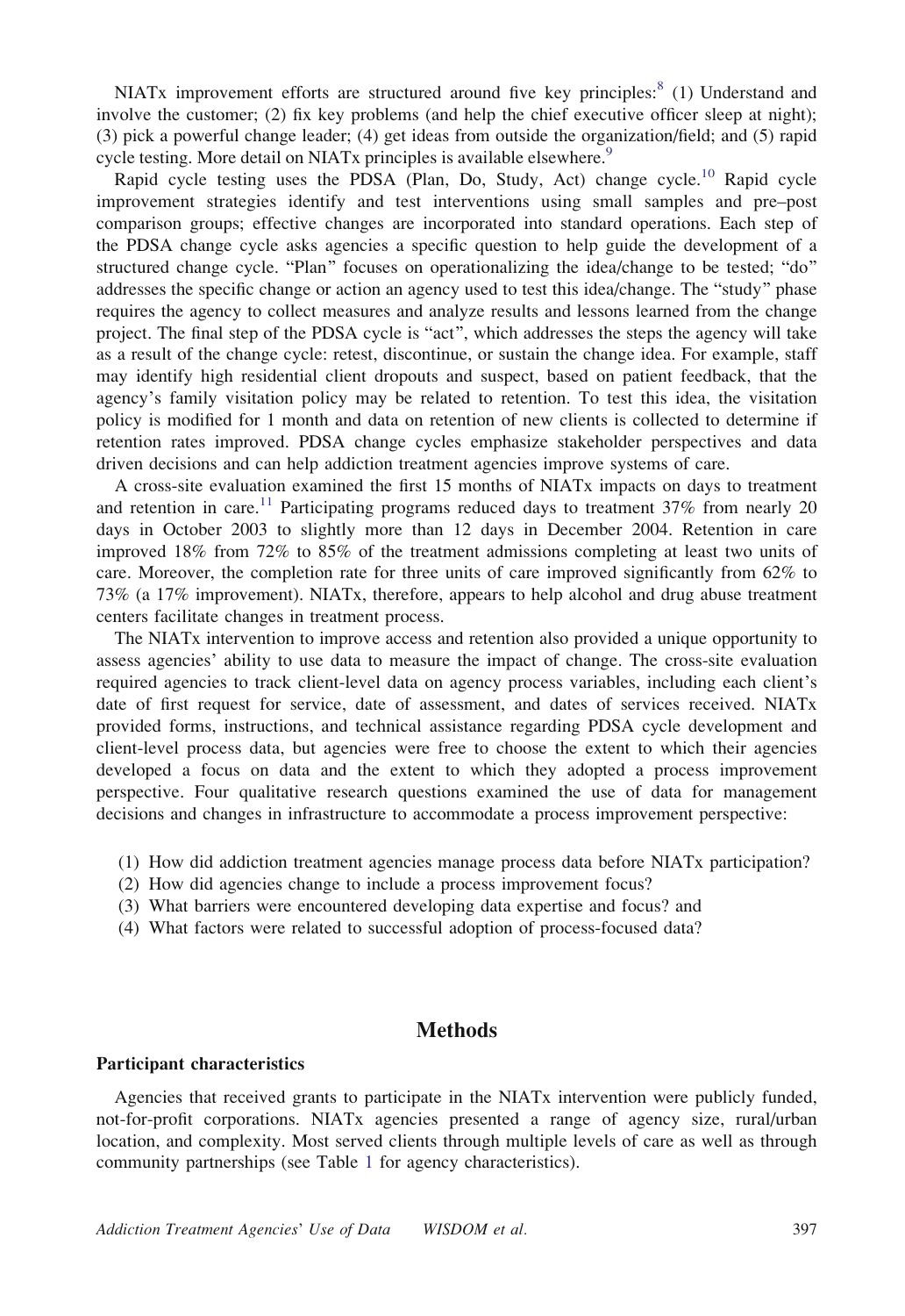NIATx improvement efforts are structured around five key principles:<sup>[8](#page-13-0)</sup> (1) Understand and involve the customer; (2) fix key problems (and help the chief executive officer sleep at night); (3) pick a powerful change leader; (4) get ideas from outside the organization/field; and (5) rapid cycle testing. More detail on NIATx principles is available elsewhere.<sup>[9](#page-13-0)</sup>

Rapid cycle testing uses the PDSA (Plan, Do, Study, Act) change cycle.<sup>[10](#page-13-0)</sup> Rapid cycle improvement strategies identify and test interventions using small samples and pre–post comparison groups; effective changes are incorporated into standard operations. Each step of the PDSA change cycle asks agencies a specific question to help guide the development of a structured change cycle. "Plan" focuses on operationalizing the idea/change to be tested; "do" addresses the specific change or action an agency used to test this idea/change. The "study" phase requires the agency to collect measures and analyze results and lessons learned from the change project. The final step of the PDSA cycle is "act", which addresses the steps the agency will take as a result of the change cycle: retest, discontinue, or sustain the change idea. For example, staff may identify high residential client dropouts and suspect, based on patient feedback, that the agency's family visitation policy may be related to retention. To test this idea, the visitation policy is modified for 1 month and data on retention of new clients is collected to determine if retention rates improved. PDSA change cycles emphasize stakeholder perspectives and data driven decisions and can help addiction treatment agencies improve systems of care.

A cross-site evaluation examined the first 15 months of NIATx impacts on days to treatment and retention in care.<sup>[11](#page-13-0)</sup> Participating programs reduced days to treatment  $37\%$  from nearly 20 days in October 2003 to slightly more than 12 days in December 2004. Retention in care improved 18% from 72% to 85% of the treatment admissions completing at least two units of care. Moreover, the completion rate for three units of care improved significantly from 62% to 73% (a 17% improvement). NIATx, therefore, appears to help alcohol and drug abuse treatment centers facilitate changes in treatment process.

The NIATx intervention to improve access and retention also provided a unique opportunity to assess agencies' ability to use data to measure the impact of change. The cross-site evaluation required agencies to track client-level data on agency process variables, including each client's date of first request for service, date of assessment, and dates of services received. NIATx provided forms, instructions, and technical assistance regarding PDSA cycle development and client-level process data, but agencies were free to choose the extent to which their agencies developed a focus on data and the extent to which they adopted a process improvement perspective. Four qualitative research questions examined the use of data for management decisions and changes in infrastructure to accommodate a process improvement perspective:

- (1) How did addiction treatment agencies manage process data before NIATx participation?
- (2) How did agencies change to include a process improvement focus?
- (3) What barriers were encountered developing data expertise and focus? and
- (4) What factors were related to successful adoption of process-focused data?

# Methods

#### Participant characteristics

Agencies that received grants to participate in the NIATx intervention were publicly funded, not-for-profit corporations. NIATx agencies presented a range of agency size, rural/urban location, and complexity. Most served clients through multiple levels of care as well as through community partnerships (see Table [1](#page-2-0) for agency characteristics).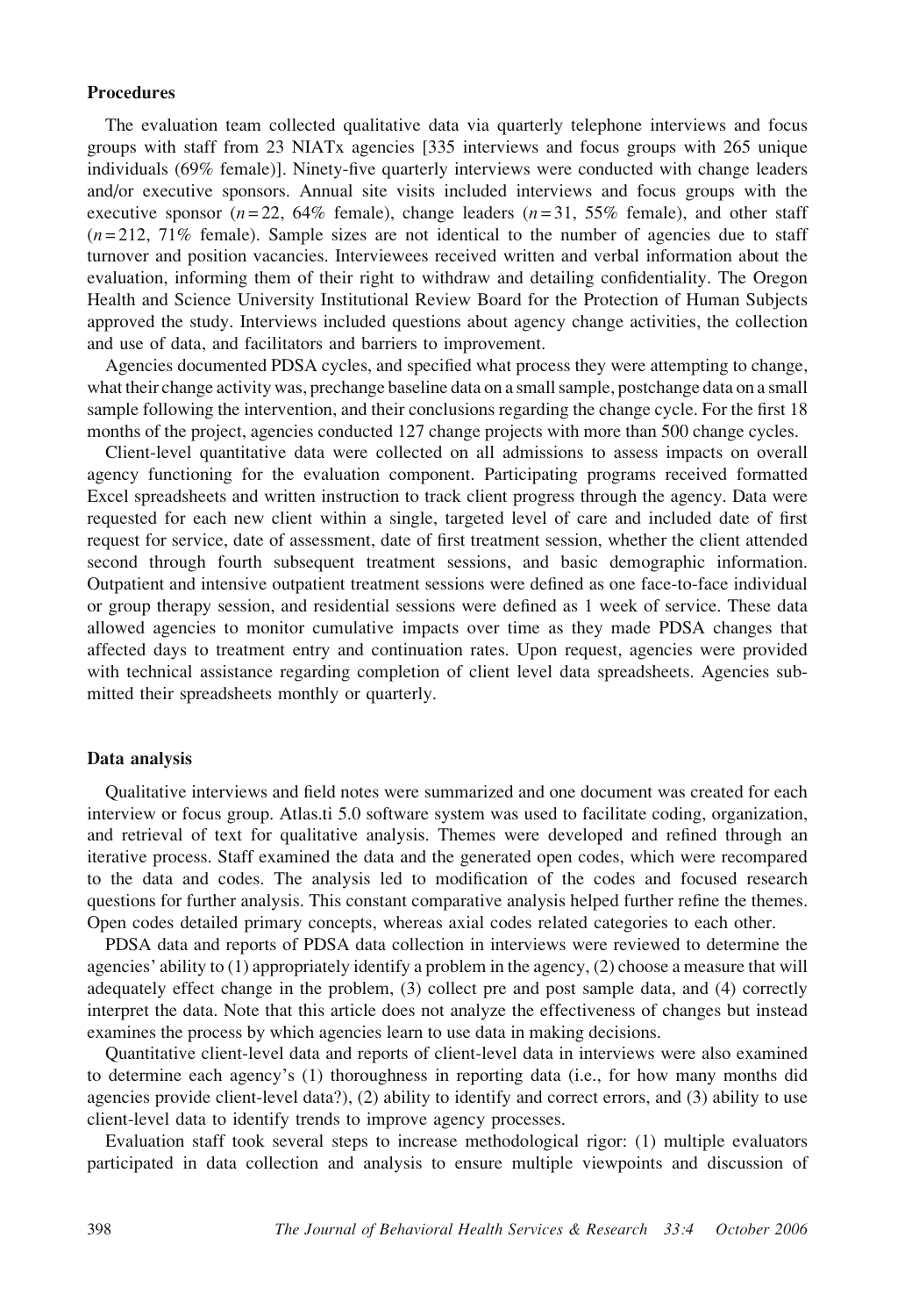## **Procedures**

The evaluation team collected qualitative data via quarterly telephone interviews and focus groups with staff from 23 NIATx agencies [335 interviews and focus groups with 265 unique individuals (69% female)]. Ninety-five quarterly interviews were conducted with change leaders and/or executive sponsors. Annual site visits included interviews and focus groups with the executive sponsor ( $n = 22$ , 64% female), change leaders ( $n = 31$ , 55% female), and other staff  $(n=212, 71\%$  female). Sample sizes are not identical to the number of agencies due to staff turnover and position vacancies. Interviewees received written and verbal information about the evaluation, informing them of their right to withdraw and detailing confidentiality. The Oregon Health and Science University Institutional Review Board for the Protection of Human Subjects approved the study. Interviews included questions about agency change activities, the collection and use of data, and facilitators and barriers to improvement.

Agencies documented PDSA cycles, and specified what process they were attempting to change, what their change activity was, prechange baseline data on a small sample, postchange data on a small sample following the intervention, and their conclusions regarding the change cycle. For the first 18 months of the project, agencies conducted 127 change projects with more than 500 change cycles.

Client-level quantitative data were collected on all admissions to assess impacts on overall agency functioning for the evaluation component. Participating programs received formatted Excel spreadsheets and written instruction to track client progress through the agency. Data were requested for each new client within a single, targeted level of care and included date of first request for service, date of assessment, date of first treatment session, whether the client attended second through fourth subsequent treatment sessions, and basic demographic information. Outpatient and intensive outpatient treatment sessions were defined as one face-to-face individual or group therapy session, and residential sessions were defined as 1 week of service. These data allowed agencies to monitor cumulative impacts over time as they made PDSA changes that affected days to treatment entry and continuation rates. Upon request, agencies were provided with technical assistance regarding completion of client level data spreadsheets. Agencies submitted their spreadsheets monthly or quarterly.

## Data analysis

Qualitative interviews and field notes were summarized and one document was created for each interview or focus group. Atlas.ti 5.0 software system was used to facilitate coding, organization, and retrieval of text for qualitative analysis. Themes were developed and refined through an iterative process. Staff examined the data and the generated open codes, which were recompared to the data and codes. The analysis led to modification of the codes and focused research questions for further analysis. This constant comparative analysis helped further refine the themes. Open codes detailed primary concepts, whereas axial codes related categories to each other.

PDSA data and reports of PDSA data collection in interviews were reviewed to determine the agencies' ability to  $(1)$  appropriately identify a problem in the agency,  $(2)$  choose a measure that will adequately effect change in the problem, (3) collect pre and post sample data, and (4) correctly interpret the data. Note that this article does not analyze the effectiveness of changes but instead examines the process by which agencies learn to use data in making decisions.

Quantitative client-level data and reports of client-level data in interviews were also examined to determine each agency's (1) thoroughness in reporting data (i.e., for how many months did agencies provide client-level data?), (2) ability to identify and correct errors, and (3) ability to use client-level data to identify trends to improve agency processes.

Evaluation staff took several steps to increase methodological rigor: (1) multiple evaluators participated in data collection and analysis to ensure multiple viewpoints and discussion of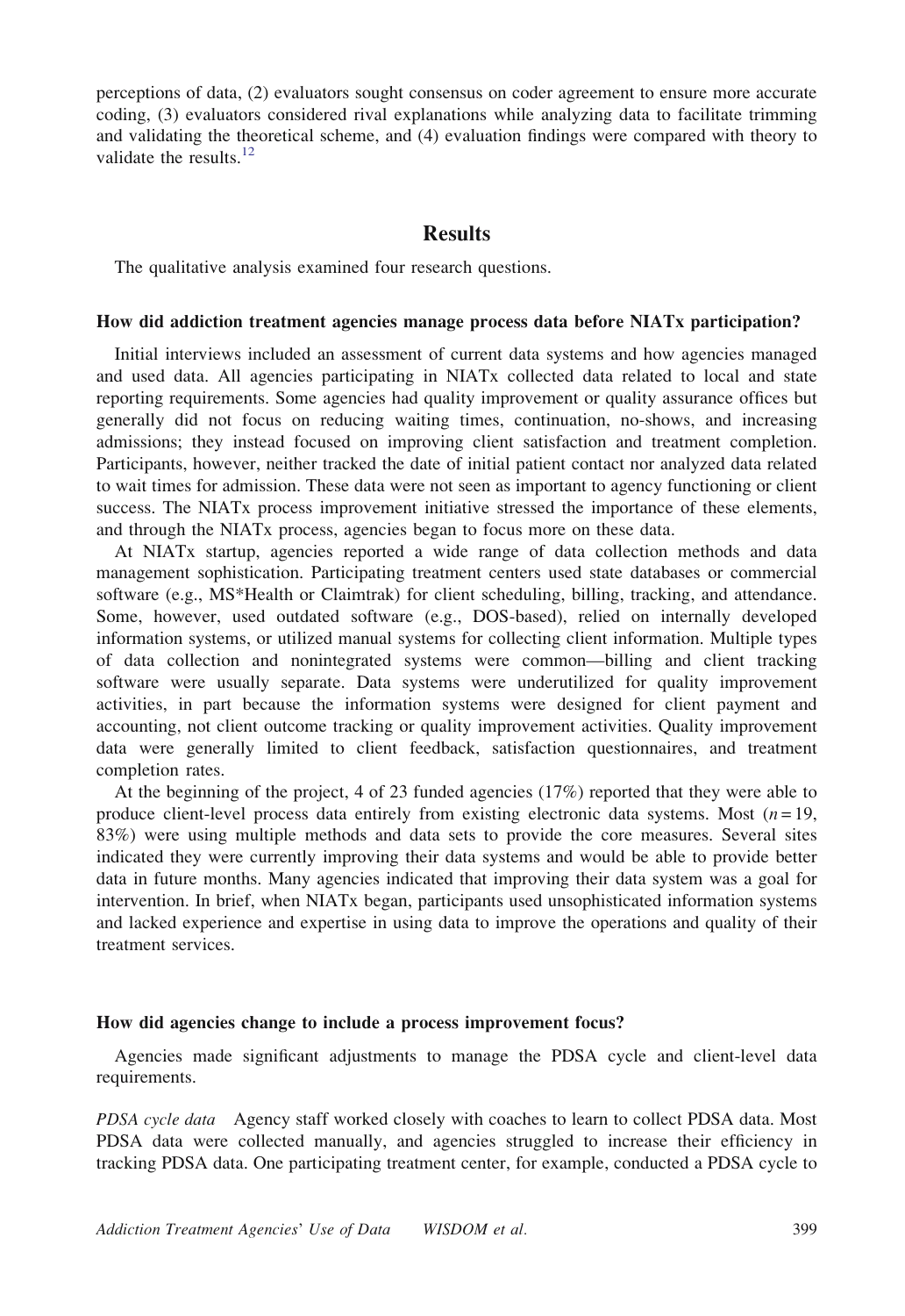perceptions of data, (2) evaluators sought consensus on coder agreement to ensure more accurate coding, (3) evaluators considered rival explanations while analyzing data to facilitate trimming and validating the theoretical scheme, and (4) evaluation findings were compared with theory to validate the results. $12$ 

# **Results**

The qualitative analysis examined four research questions.

#### How did addiction treatment agencies manage process data before NIATx participation?

Initial interviews included an assessment of current data systems and how agencies managed and used data. All agencies participating in NIATx collected data related to local and state reporting requirements. Some agencies had quality improvement or quality assurance offices but generally did not focus on reducing waiting times, continuation, no-shows, and increasing admissions; they instead focused on improving client satisfaction and treatment completion. Participants, however, neither tracked the date of initial patient contact nor analyzed data related to wait times for admission. These data were not seen as important to agency functioning or client success. The NIATx process improvement initiative stressed the importance of these elements, and through the NIATx process, agencies began to focus more on these data.

At NIATx startup, agencies reported a wide range of data collection methods and data management sophistication. Participating treatment centers used state databases or commercial software (e.g., MS\*Health or Claimtrak) for client scheduling, billing, tracking, and attendance. Some, however, used outdated software (e.g., DOS-based), relied on internally developed information systems, or utilized manual systems for collecting client information. Multiple types of data collection and nonintegrated systems were common—billing and client tracking software were usually separate. Data systems were underutilized for quality improvement activities, in part because the information systems were designed for client payment and accounting, not client outcome tracking or quality improvement activities. Quality improvement data were generally limited to client feedback, satisfaction questionnaires, and treatment completion rates.

At the beginning of the project, 4 of 23 funded agencies (17%) reported that they were able to produce client-level process data entirely from existing electronic data systems. Most  $(n = 19)$ , 83%) were using multiple methods and data sets to provide the core measures. Several sites indicated they were currently improving their data systems and would be able to provide better data in future months. Many agencies indicated that improving their data system was a goal for intervention. In brief, when NIATx began, participants used unsophisticated information systems and lacked experience and expertise in using data to improve the operations and quality of their treatment services.

## How did agencies change to include a process improvement focus?

Agencies made significant adjustments to manage the PDSA cycle and client-level data requirements.

PDSA cycle data Agency staff worked closely with coaches to learn to collect PDSA data. Most PDSA data were collected manually, and agencies struggled to increase their efficiency in tracking PDSA data. One participating treatment center, for example, conducted a PDSA cycle to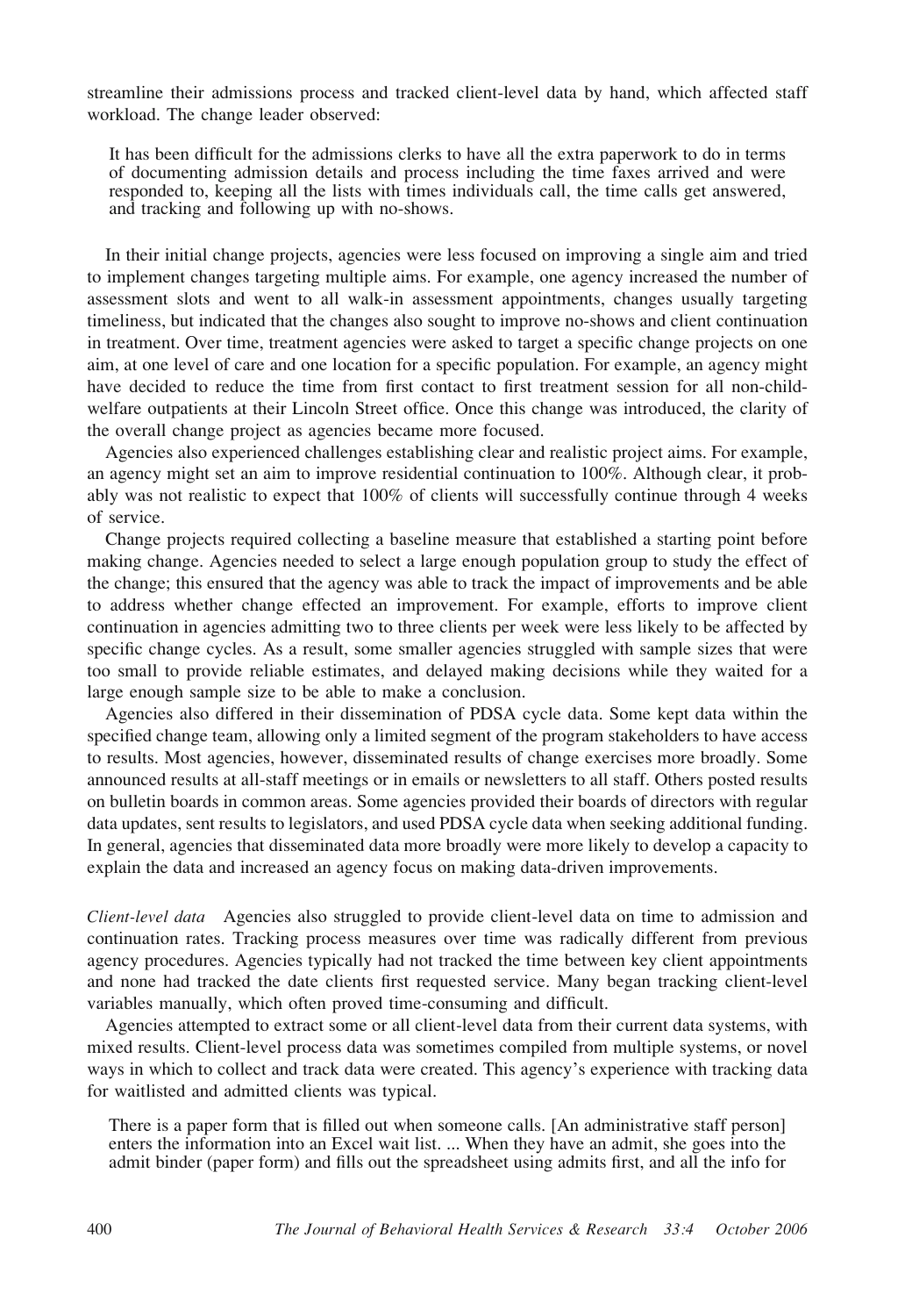streamline their admissions process and tracked client-level data by hand, which affected staff workload. The change leader observed:

It has been difficult for the admissions clerks to have all the extra paperwork to do in terms of documenting admission details and process including the time faxes arrived and were responded to, keeping all the lists with times individuals call, the time calls get answered, and tracking and following up with no-shows.

In their initial change projects, agencies were less focused on improving a single aim and tried to implement changes targeting multiple aims. For example, one agency increased the number of assessment slots and went to all walk-in assessment appointments, changes usually targeting timeliness, but indicated that the changes also sought to improve no-shows and client continuation in treatment. Over time, treatment agencies were asked to target a specific change projects on one aim, at one level of care and one location for a specific population. For example, an agency might have decided to reduce the time from first contact to first treatment session for all non-childwelfare outpatients at their Lincoln Street office. Once this change was introduced, the clarity of the overall change project as agencies became more focused.

Agencies also experienced challenges establishing clear and realistic project aims. For example, an agency might set an aim to improve residential continuation to 100%. Although clear, it probably was not realistic to expect that 100% of clients will successfully continue through 4 weeks of service.

Change projects required collecting a baseline measure that established a starting point before making change. Agencies needed to select a large enough population group to study the effect of the change; this ensured that the agency was able to track the impact of improvements and be able to address whether change effected an improvement. For example, efforts to improve client continuation in agencies admitting two to three clients per week were less likely to be affected by specific change cycles. As a result, some smaller agencies struggled with sample sizes that were too small to provide reliable estimates, and delayed making decisions while they waited for a large enough sample size to be able to make a conclusion.

Agencies also differed in their dissemination of PDSA cycle data. Some kept data within the specified change team, allowing only a limited segment of the program stakeholders to have access to results. Most agencies, however, disseminated results of change exercises more broadly. Some announced results at all-staff meetings or in emails or newsletters to all staff. Others posted results on bulletin boards in common areas. Some agencies provided their boards of directors with regular data updates, sent results to legislators, and used PDSA cycle data when seeking additional funding. In general, agencies that disseminated data more broadly were more likely to develop a capacity to explain the data and increased an agency focus on making data-driven improvements.

Client-level data Agencies also struggled to provide client-level data on time to admission and continuation rates. Tracking process measures over time was radically different from previous agency procedures. Agencies typically had not tracked the time between key client appointments and none had tracked the date clients first requested service. Many began tracking client-level variables manually, which often proved time-consuming and difficult.

Agencies attempted to extract some or all client-level data from their current data systems, with mixed results. Client-level process data was sometimes compiled from multiple systems, or novel ways in which to collect and track data were created. This agency's experience with tracking data for waitlisted and admitted clients was typical.

There is a paper form that is filled out when someone calls. [An administrative staff person] enters the information into an Excel wait list. ... When they have an admit, she goes into the admit binder (paper form) and fills out the spreadsheet using admits first, and all the info for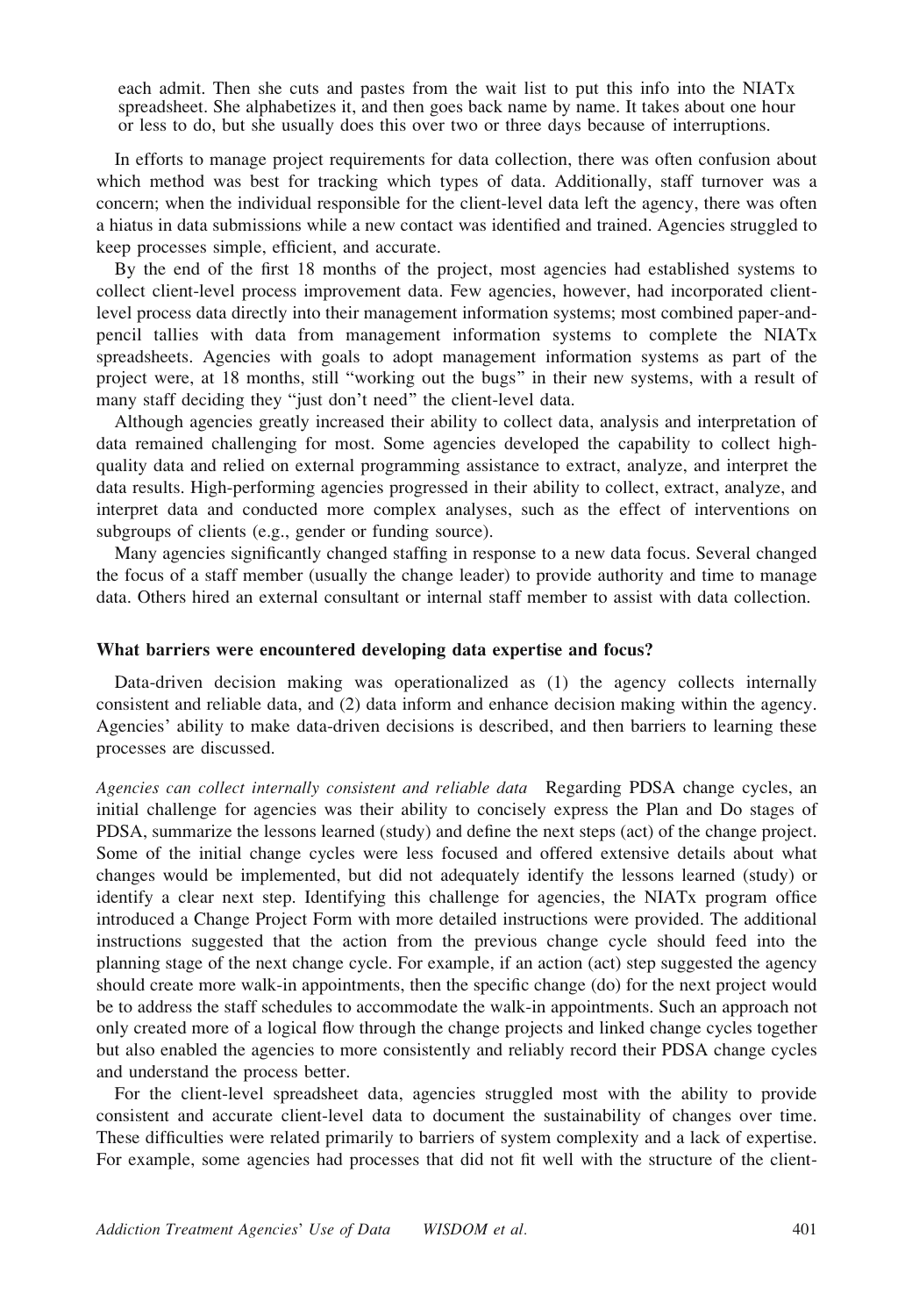each admit. Then she cuts and pastes from the wait list to put this info into the NIATx spreadsheet. She alphabetizes it, and then goes back name by name. It takes about one hour or less to do, but she usually does this over two or three days because of interruptions.

In efforts to manage project requirements for data collection, there was often confusion about which method was best for tracking which types of data. Additionally, staff turnover was a concern; when the individual responsible for the client-level data left the agency, there was often a hiatus in data submissions while a new contact was identified and trained. Agencies struggled to keep processes simple, efficient, and accurate.

By the end of the first 18 months of the project, most agencies had established systems to collect client-level process improvement data. Few agencies, however, had incorporated clientlevel process data directly into their management information systems; most combined paper-andpencil tallies with data from management information systems to complete the NIATx spreadsheets. Agencies with goals to adopt management information systems as part of the project were, at 18 months, still "working out the bugs" in their new systems, with a result of many staff deciding they "just don't need" the client-level data.

Although agencies greatly increased their ability to collect data, analysis and interpretation of data remained challenging for most. Some agencies developed the capability to collect highquality data and relied on external programming assistance to extract, analyze, and interpret the data results. High-performing agencies progressed in their ability to collect, extract, analyze, and interpret data and conducted more complex analyses, such as the effect of interventions on subgroups of clients (e.g., gender or funding source).

Many agencies significantly changed staffing in response to a new data focus. Several changed the focus of a staff member (usually the change leader) to provide authority and time to manage data. Others hired an external consultant or internal staff member to assist with data collection.

#### What barriers were encountered developing data expertise and focus?

Data-driven decision making was operationalized as (1) the agency collects internally consistent and reliable data, and (2) data inform and enhance decision making within the agency. Agencies' ability to make data-driven decisions is described, and then barriers to learning these processes are discussed.

Agencies can collect internally consistent and reliable data Regarding PDSA change cycles, an initial challenge for agencies was their ability to concisely express the Plan and Do stages of PDSA, summarize the lessons learned (study) and define the next steps (act) of the change project. Some of the initial change cycles were less focused and offered extensive details about what changes would be implemented, but did not adequately identify the lessons learned (study) or identify a clear next step. Identifying this challenge for agencies, the NIATx program office introduced a Change Project Form with more detailed instructions were provided. The additional instructions suggested that the action from the previous change cycle should feed into the planning stage of the next change cycle. For example, if an action (act) step suggested the agency should create more walk-in appointments, then the specific change (do) for the next project would be to address the staff schedules to accommodate the walk-in appointments. Such an approach not only created more of a logical flow through the change projects and linked change cycles together but also enabled the agencies to more consistently and reliably record their PDSA change cycles and understand the process better.

For the client-level spreadsheet data, agencies struggled most with the ability to provide consistent and accurate client-level data to document the sustainability of changes over time. These difficulties were related primarily to barriers of system complexity and a lack of expertise. For example, some agencies had processes that did not fit well with the structure of the client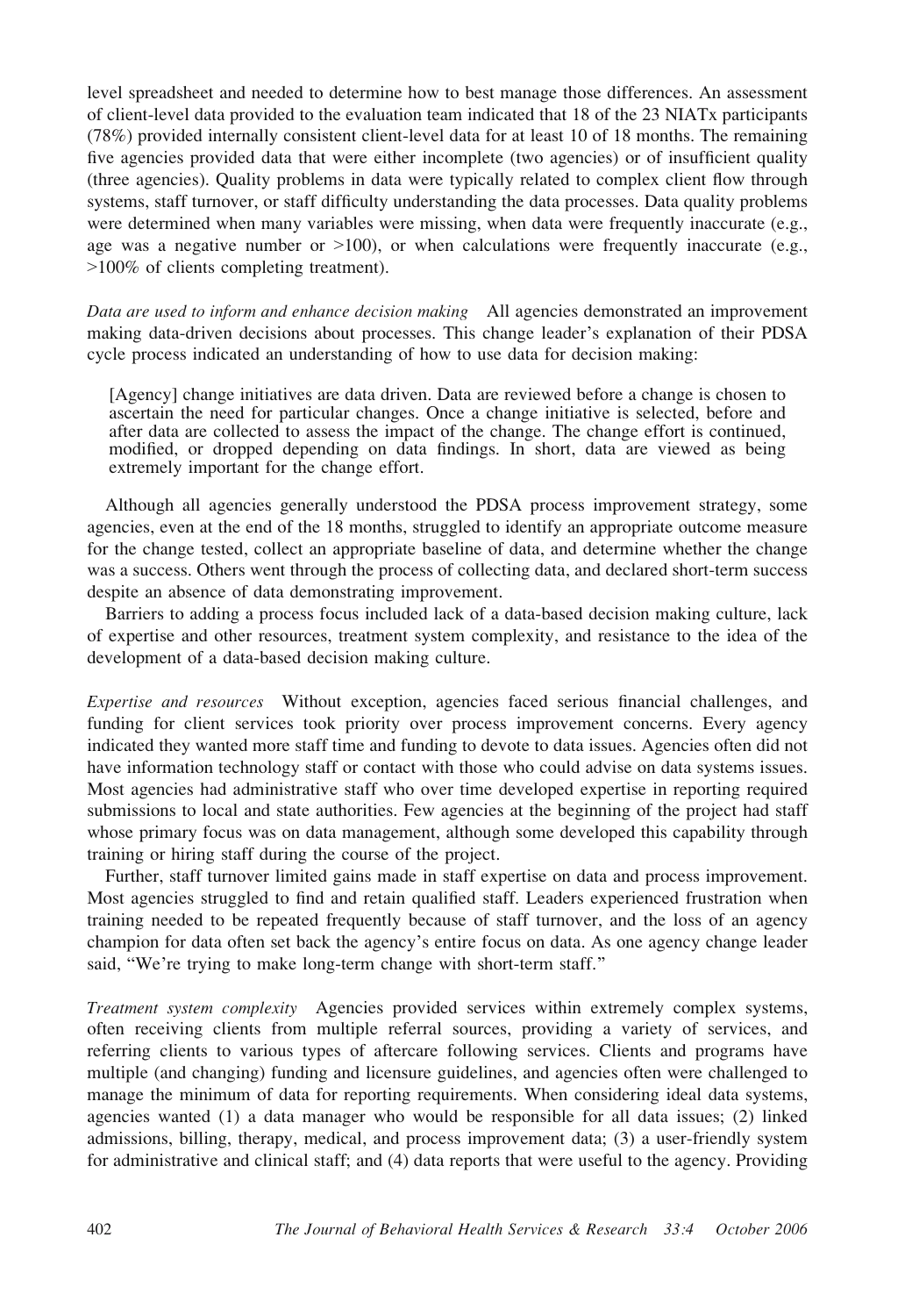level spreadsheet and needed to determine how to best manage those differences. An assessment of client-level data provided to the evaluation team indicated that 18 of the 23 NIATx participants (78%) provided internally consistent client-level data for at least 10 of 18 months. The remaining five agencies provided data that were either incomplete (two agencies) or of insufficient quality (three agencies). Quality problems in data were typically related to complex client flow through systems, staff turnover, or staff difficulty understanding the data processes. Data quality problems were determined when many variables were missing, when data were frequently inaccurate (e.g., age was a negative number or  $>100$ ), or when calculations were frequently inaccurate (e.g., 9100% of clients completing treatment).

Data are used to inform and enhance decision making All agencies demonstrated an improvement making data-driven decisions about processes. This change leader\_s explanation of their PDSA cycle process indicated an understanding of how to use data for decision making:

[Agency] change initiatives are data driven. Data are reviewed before a change is chosen to ascertain the need for particular changes. Once a change initiative is selected, before and after data are collected to assess the impact of the change. The change effort is continued, modified, or dropped depending on data findings. In short, data are viewed as being extremely important for the change effort.

Although all agencies generally understood the PDSA process improvement strategy, some agencies, even at the end of the 18 months, struggled to identify an appropriate outcome measure for the change tested, collect an appropriate baseline of data, and determine whether the change was a success. Others went through the process of collecting data, and declared short-term success despite an absence of data demonstrating improvement.

Barriers to adding a process focus included lack of a data-based decision making culture, lack of expertise and other resources, treatment system complexity, and resistance to the idea of the development of a data-based decision making culture.

Expertise and resources Without exception, agencies faced serious financial challenges, and funding for client services took priority over process improvement concerns. Every agency indicated they wanted more staff time and funding to devote to data issues. Agencies often did not have information technology staff or contact with those who could advise on data systems issues. Most agencies had administrative staff who over time developed expertise in reporting required submissions to local and state authorities. Few agencies at the beginning of the project had staff whose primary focus was on data management, although some developed this capability through training or hiring staff during the course of the project.

Further, staff turnover limited gains made in staff expertise on data and process improvement. Most agencies struggled to find and retain qualified staff. Leaders experienced frustration when training needed to be repeated frequently because of staff turnover, and the loss of an agency champion for data often set back the agency's entire focus on data. As one agency change leader said, "We're trying to make long-term change with short-term staff."

Treatment system complexity Agencies provided services within extremely complex systems, often receiving clients from multiple referral sources, providing a variety of services, and referring clients to various types of aftercare following services. Clients and programs have multiple (and changing) funding and licensure guidelines, and agencies often were challenged to manage the minimum of data for reporting requirements. When considering ideal data systems, agencies wanted (1) a data manager who would be responsible for all data issues; (2) linked admissions, billing, therapy, medical, and process improvement data; (3) a user-friendly system for administrative and clinical staff; and (4) data reports that were useful to the agency. Providing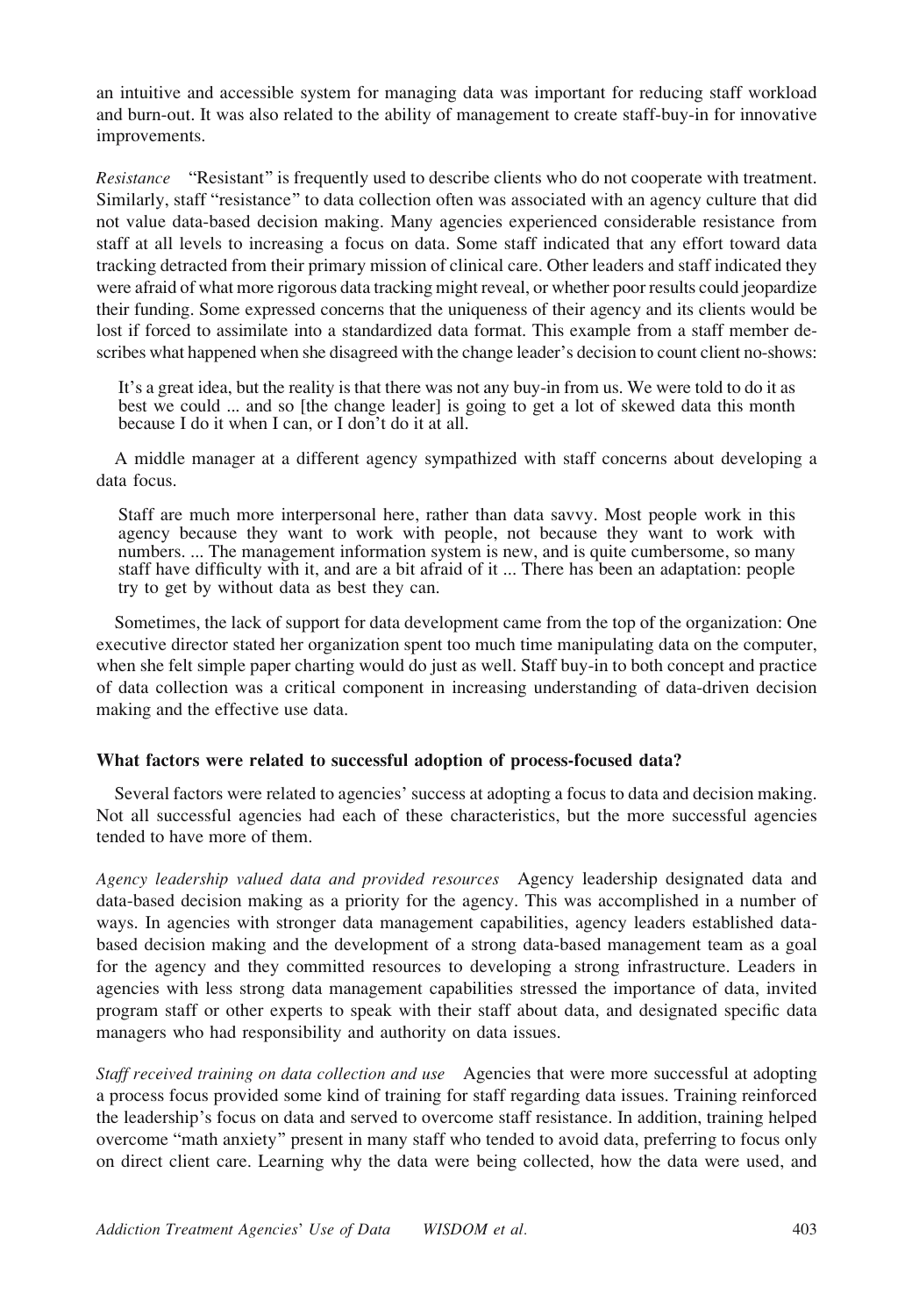an intuitive and accessible system for managing data was important for reducing staff workload and burn-out. It was also related to the ability of management to create staff-buy-in for innovative improvements.

Resistance "Resistant" is frequently used to describe clients who do not cooperate with treatment. Similarly, staff "resistance" to data collection often was associated with an agency culture that did not value data-based decision making. Many agencies experienced considerable resistance from staff at all levels to increasing a focus on data. Some staff indicated that any effort toward data tracking detracted from their primary mission of clinical care. Other leaders and staff indicated they were afraid of what more rigorous data tracking might reveal, or whether poor results could jeopardize their funding. Some expressed concerns that the uniqueness of their agency and its clients would be lost if forced to assimilate into a standardized data format. This example from a staff member describes what happened when she disagreed with the change leader's decision to count client no-shows:

It's a great idea, but the reality is that there was not any buy-in from us. We were told to do it as best we could ... and so [the change leader] is going to get a lot of skewed data this month because I do it when I can, or I don't do it at all.

A middle manager at a different agency sympathized with staff concerns about developing a data focus.

Staff are much more interpersonal here, rather than data savvy. Most people work in this agency because they want to work with people, not because they want to work with numbers. ... The management information system is new, and is quite cumbersome, so many staff have difficulty with it, and are a bit afraid of it ... There has been an adaptation: people try to get by without data as best they can.

Sometimes, the lack of support for data development came from the top of the organization: One executive director stated her organization spent too much time manipulating data on the computer, when she felt simple paper charting would do just as well. Staff buy-in to both concept and practice of data collection was a critical component in increasing understanding of data-driven decision making and the effective use data.

## What factors were related to successful adoption of process-focused data?

Several factors were related to agencies' success at adopting a focus to data and decision making. Not all successful agencies had each of these characteristics, but the more successful agencies tended to have more of them.

Agency leadership valued data and provided resources Agency leadership designated data and data-based decision making as a priority for the agency. This was accomplished in a number of ways. In agencies with stronger data management capabilities, agency leaders established databased decision making and the development of a strong data-based management team as a goal for the agency and they committed resources to developing a strong infrastructure. Leaders in agencies with less strong data management capabilities stressed the importance of data, invited program staff or other experts to speak with their staff about data, and designated specific data managers who had responsibility and authority on data issues.

Staff received training on data collection and use Agencies that were more successful at adopting a process focus provided some kind of training for staff regarding data issues. Training reinforced the leadership's focus on data and served to overcome staff resistance. In addition, training helped overcome "math anxiety" present in many staff who tended to avoid data, preferring to focus only on direct client care. Learning why the data were being collected, how the data were used, and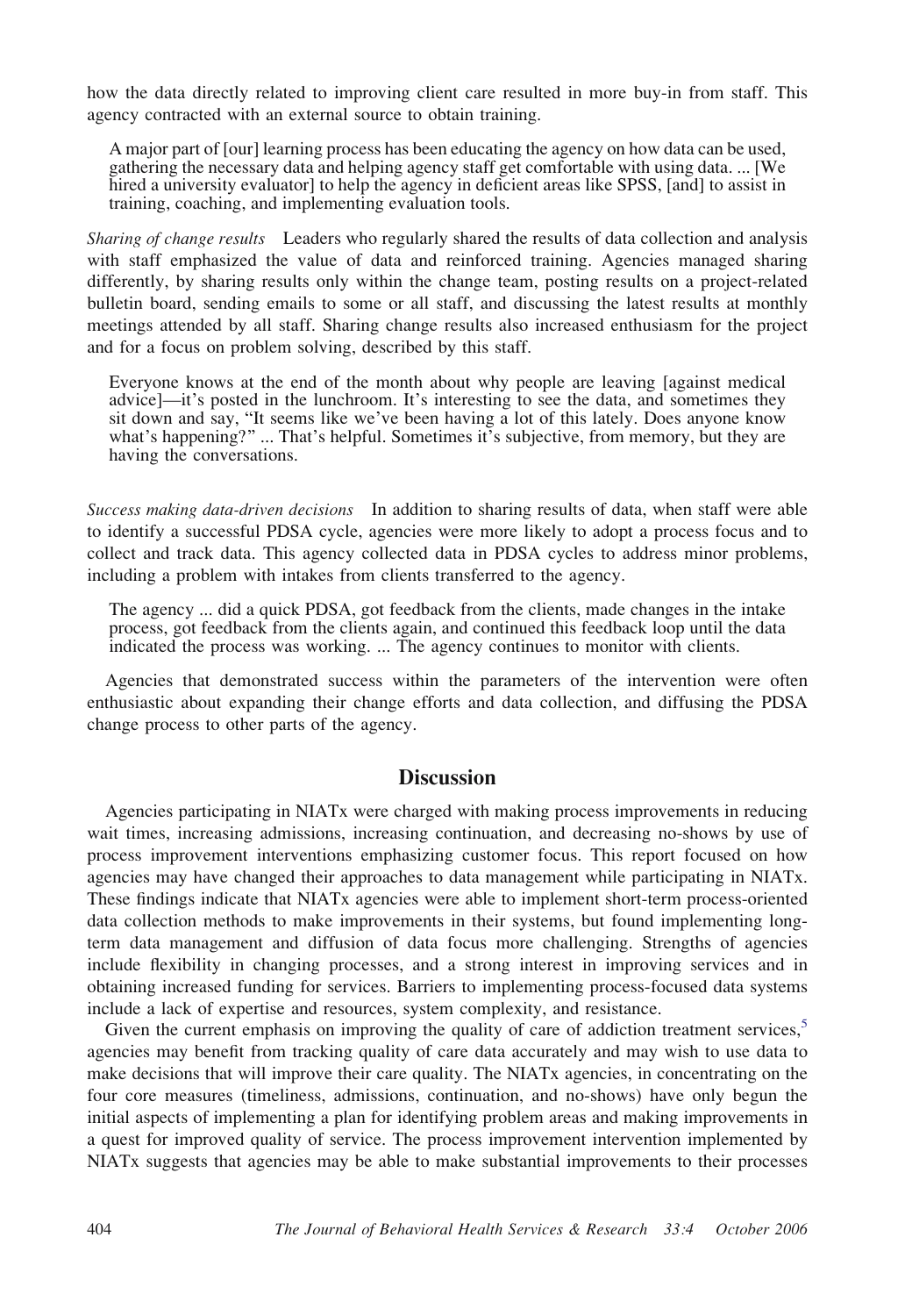how the data directly related to improving client care resulted in more buy-in from staff. This agency contracted with an external source to obtain training.

A major part of [our] learning process has been educating the agency on how data can be used, gathering the necessary data and helping agency staff get comfortable with using data. ... [We hired a university evaluator] to help the agency in deficient areas like SPSS, [and] to assist in training, coaching, and implementing evaluation tools.

Sharing of change results Leaders who regularly shared the results of data collection and analysis with staff emphasized the value of data and reinforced training. Agencies managed sharing differently, by sharing results only within the change team, posting results on a project-related bulletin board, sending emails to some or all staff, and discussing the latest results at monthly meetings attended by all staff. Sharing change results also increased enthusiasm for the project and for a focus on problem solving, described by this staff.

Everyone knows at the end of the month about why people are leaving [against medical advice]—it's posted in the lunchroom. It's interesting to see the data, and sometimes they sit down and say, "It seems like we've been having a lot of this lately. Does anyone know<br>what's happening?" ... That's helpful. Sometimes it's subjective, from memory, but they are having the conversations.

Success making data-driven decisions In addition to sharing results of data, when staff were able to identify a successful PDSA cycle, agencies were more likely to adopt a process focus and to collect and track data. This agency collected data in PDSA cycles to address minor problems, including a problem with intakes from clients transferred to the agency.

The agency ... did a quick PDSA, got feedback from the clients, made changes in the intake process, got feedback from the clients again, and continued this feedback loop until the data indicated the process was working. ... The agency continues to monitor with clients.

Agencies that demonstrated success within the parameters of the intervention were often enthusiastic about expanding their change efforts and data collection, and diffusing the PDSA change process to other parts of the agency.

# **Discussion**

Agencies participating in NIATx were charged with making process improvements in reducing wait times, increasing admissions, increasing continuation, and decreasing no-shows by use of process improvement interventions emphasizing customer focus. This report focused on how agencies may have changed their approaches to data management while participating in NIATx. These findings indicate that NIATx agencies were able to implement short-term process-oriented data collection methods to make improvements in their systems, but found implementing longterm data management and diffusion of data focus more challenging. Strengths of agencies include flexibility in changing processes, and a strong interest in improving services and in obtaining increased funding for services. Barriers to implementing process-focused data systems include a lack of expertise and resources, system complexity, and resistance.

Given the current emphasis on improving the quality of care of addiction treatment services, $\delta$ agencies may benefit from tracking quality of care data accurately and may wish to use data to make decisions that will improve their care quality. The NIATx agencies, in concentrating on the four core measures (timeliness, admissions, continuation, and no-shows) have only begun the initial aspects of implementing a plan for identifying problem areas and making improvements in a quest for improved quality of service. The process improvement intervention implemented by NIATx suggests that agencies may be able to make substantial improvements to their processes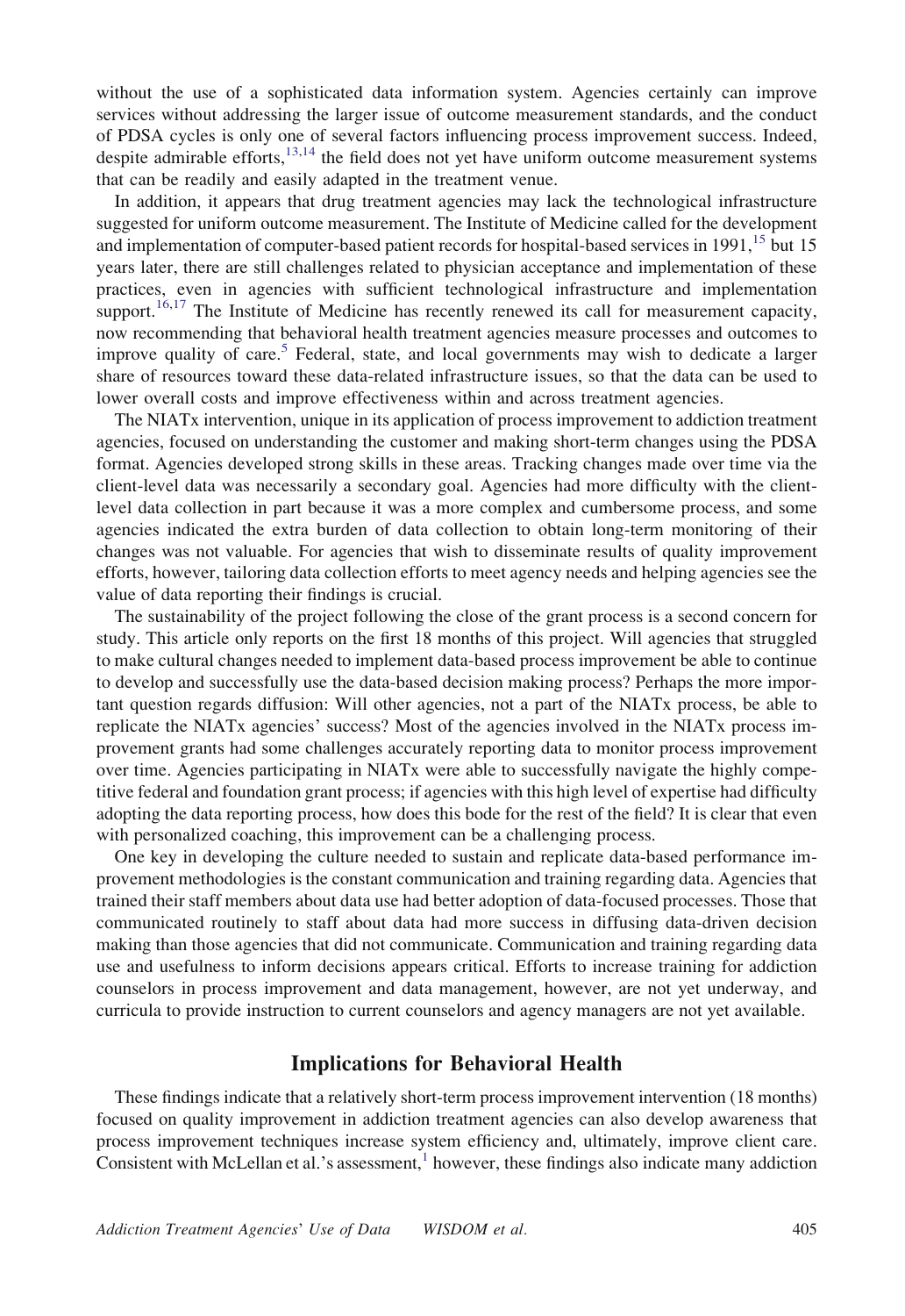without the use of a sophisticated data information system. Agencies certainly can improve services without addressing the larger issue of outcome measurement standards, and the conduct of PDSA cycles is only one of several factors influencing process improvement success. Indeed, despite admirable efforts,  $13,14$  the field does not yet have uniform outcome measurement systems that can be readily and easily adapted in the treatment venue.

In addition, it appears that drug treatment agencies may lack the technological infrastructure suggested for uniform outcome measurement. The Institute of Medicine called for the development and implementation of computer-based patient records for hospital-based services in 1991,<sup>[15](#page-13-0)</sup> but 15 years later, there are still challenges related to physician acceptance and implementation of these practices, even in agencies with sufficient technological infrastructure and implementation support.<sup>[16,17](#page-13-0)</sup> The Institute of Medicine has recently renewed its call for measurement capacity, now recommending that behavioral health treatment agencies measure processes and outcomes to improve quality of care.<sup>[5](#page-13-0)</sup> Federal, state, and local governments may wish to dedicate a larger share of resources toward these data-related infrastructure issues, so that the data can be used to lower overall costs and improve effectiveness within and across treatment agencies.

The NIATx intervention, unique in its application of process improvement to addiction treatment agencies, focused on understanding the customer and making short-term changes using the PDSA format. Agencies developed strong skills in these areas. Tracking changes made over time via the client-level data was necessarily a secondary goal. Agencies had more difficulty with the clientlevel data collection in part because it was a more complex and cumbersome process, and some agencies indicated the extra burden of data collection to obtain long-term monitoring of their changes was not valuable. For agencies that wish to disseminate results of quality improvement efforts, however, tailoring data collection efforts to meet agency needs and helping agencies see the value of data reporting their findings is crucial.

The sustainability of the project following the close of the grant process is a second concern for study. This article only reports on the first 18 months of this project. Will agencies that struggled to make cultural changes needed to implement data-based process improvement be able to continue to develop and successfully use the data-based decision making process? Perhaps the more important question regards diffusion: Will other agencies, not a part of the NIATx process, be able to replicate the NIATx agencies' success? Most of the agencies involved in the NIATx process improvement grants had some challenges accurately reporting data to monitor process improvement over time. Agencies participating in NIATx were able to successfully navigate the highly competitive federal and foundation grant process; if agencies with this high level of expertise had difficulty adopting the data reporting process, how does this bode for the rest of the field? It is clear that even with personalized coaching, this improvement can be a challenging process.

One key in developing the culture needed to sustain and replicate data-based performance improvement methodologies is the constant communication and training regarding data. Agencies that trained their staff members about data use had better adoption of data-focused processes. Those that communicated routinely to staff about data had more success in diffusing data-driven decision making than those agencies that did not communicate. Communication and training regarding data use and usefulness to inform decisions appears critical. Efforts to increase training for addiction counselors in process improvement and data management, however, are not yet underway, and curricula to provide instruction to current counselors and agency managers are not yet available.

# Implications for Behavioral Health

These findings indicate that a relatively short-term process improvement intervention (18 months) focused on quality improvement in addiction treatment agencies can also develop awareness that process improvement techniques increase system efficiency and, ultimately, improve client care. Consistent with McLellan et al.'s assessment, $\frac{1}{1}$  $\frac{1}{1}$  $\frac{1}{1}$  however, these findings also indicate many addiction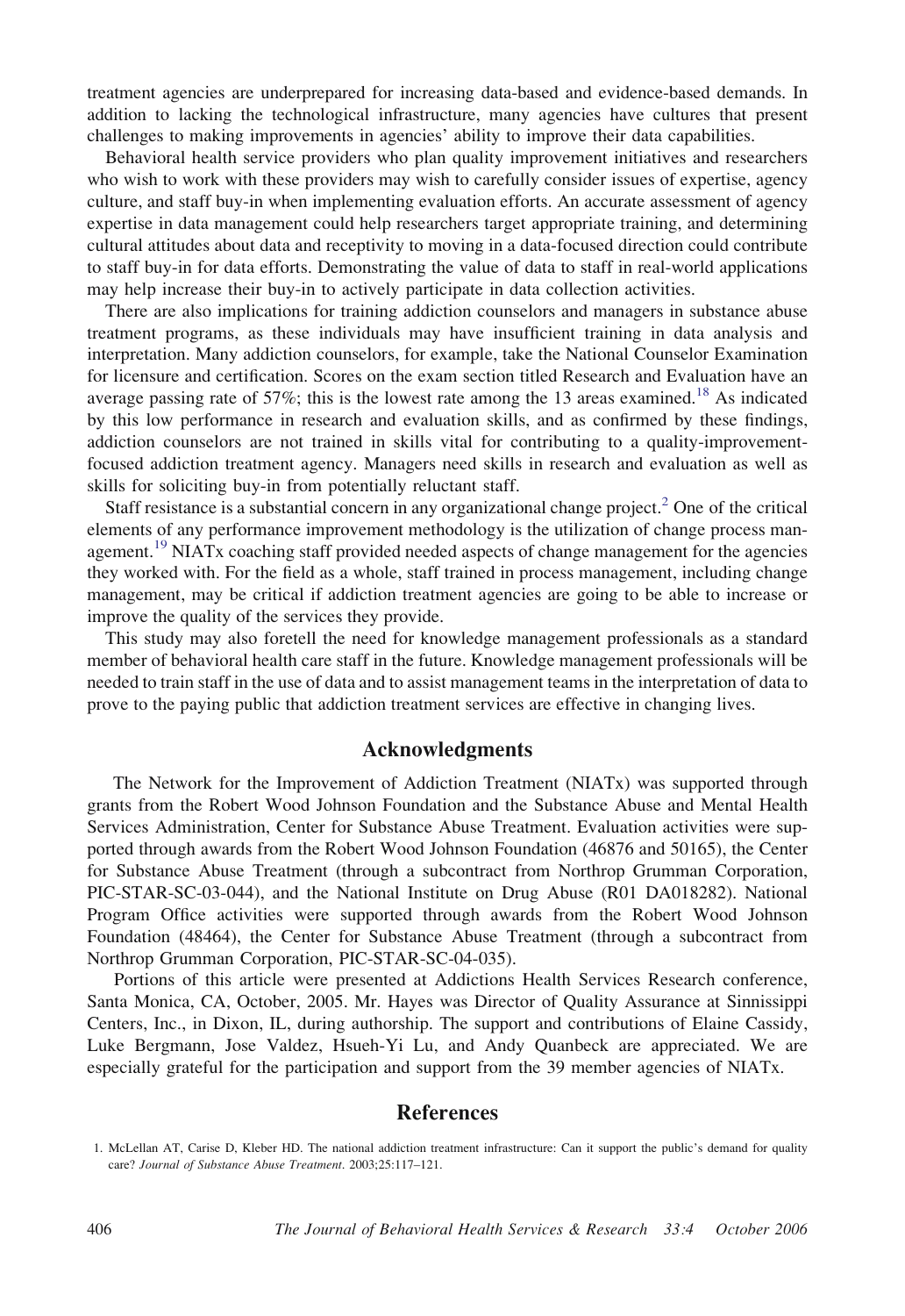<span id="page-12-0"></span>treatment agencies are underprepared for increasing data-based and evidence-based demands. In addition to lacking the technological infrastructure, many agencies have cultures that present challenges to making improvements in agencies' ability to improve their data capabilities.

Behavioral health service providers who plan quality improvement initiatives and researchers who wish to work with these providers may wish to carefully consider issues of expertise, agency culture, and staff buy-in when implementing evaluation efforts. An accurate assessment of agency expertise in data management could help researchers target appropriate training, and determining cultural attitudes about data and receptivity to moving in a data-focused direction could contribute to staff buy-in for data efforts. Demonstrating the value of data to staff in real-world applications may help increase their buy-in to actively participate in data collection activities.

There are also implications for training addiction counselors and managers in substance abuse treatment programs, as these individuals may have insufficient training in data analysis and interpretation. Many addiction counselors, for example, take the National Counselor Examination for licensure and certification. Scores on the exam section titled Research and Evaluation have an average passing rate of 57%; this is the lowest rate among the 13 areas examined.<sup>[18](#page-13-0)</sup> As indicated by this low performance in research and evaluation skills, and as confirmed by these findings, addiction counselors are not trained in skills vital for contributing to a quality-improvementfocused addiction treatment agency. Managers need skills in research and evaluation as well as skills for soliciting buy-in from potentially reluctant staff.

Staff resistance is a substantial concern in any organizational change project.<sup>[2](#page-13-0)</sup> One of the critical elements of any performance improvement methodology is the utilization of change process man-agement.<sup>[19](#page-13-0)</sup> NIATx coaching staff provided needed aspects of change management for the agencies they worked with. For the field as a whole, staff trained in process management, including change management, may be critical if addiction treatment agencies are going to be able to increase or improve the quality of the services they provide.

This study may also foretell the need for knowledge management professionals as a standard member of behavioral health care staff in the future. Knowledge management professionals will be needed to train staff in the use of data and to assist management teams in the interpretation of data to prove to the paying public that addiction treatment services are effective in changing lives.

# Acknowledgments

The Network for the Improvement of Addiction Treatment (NIATx) was supported through grants from the Robert Wood Johnson Foundation and the Substance Abuse and Mental Health Services Administration, Center for Substance Abuse Treatment. Evaluation activities were supported through awards from the Robert Wood Johnson Foundation (46876 and 50165), the Center for Substance Abuse Treatment (through a subcontract from Northrop Grumman Corporation, PIC-STAR-SC-03-044), and the National Institute on Drug Abuse (R01 DA018282). National Program Office activities were supported through awards from the Robert Wood Johnson Foundation (48464), the Center for Substance Abuse Treatment (through a subcontract from Northrop Grumman Corporation, PIC-STAR-SC-04-035).

Portions of this article were presented at Addictions Health Services Research conference, Santa Monica, CA, October, 2005. Mr. Hayes was Director of Quality Assurance at Sinnissippi Centers, Inc., in Dixon, IL, during authorship. The support and contributions of Elaine Cassidy, Luke Bergmann, Jose Valdez, Hsueh-Yi Lu, and Andy Quanbeck are appreciated. We are especially grateful for the participation and support from the 39 member agencies of NIATx.

## References

<sup>1.</sup> McLellan AT, Carise D, Kleber HD. The national addiction treatment infrastructure: Can it support the public's demand for quality care? Journal of Substance Abuse Treatment. 2003;25:117–121.